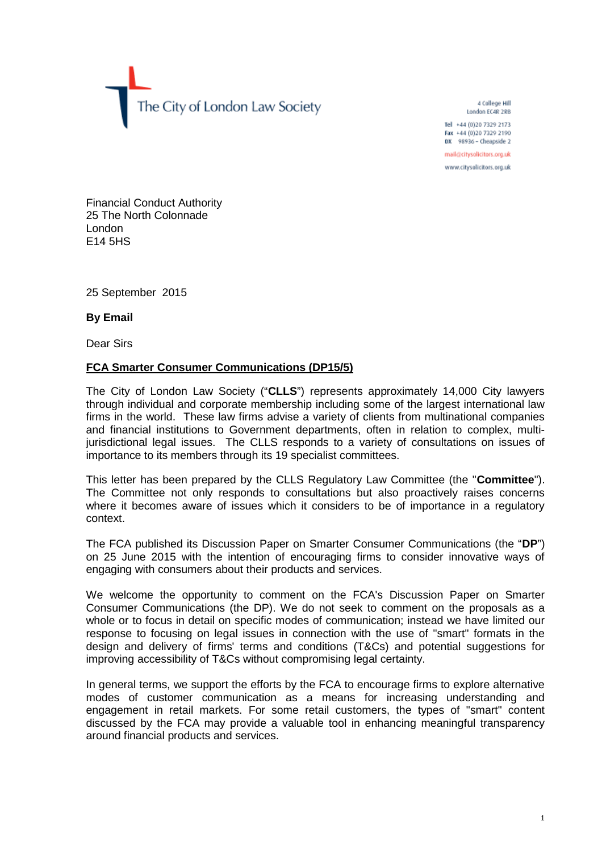The City of London Law Society

4 College Hill London EC4R 2RB

Tel +44 (0)20 7329 2173 Fax +44 (0)20 7329 2190 DX 98936 - Cheapside 2

mail@citysolicitors.org.uk

www.citysolicitors.org.uk

Financial Conduct Authority 25 The North Colonnade London E14 5HS

25 September 2015

**By Email**

Dear Sirs

## **FCA Smarter Consumer Communications (DP15/5)**

The City of London Law Society ("**CLLS**") represents approximately 14,000 City lawyers through individual and corporate membership including some of the largest international law firms in the world. These law firms advise a variety of clients from multinational companies and financial institutions to Government departments, often in relation to complex, multijurisdictional legal issues. The CLLS responds to a variety of consultations on issues of importance to its members through its 19 specialist committees.

This letter has been prepared by the CLLS Regulatory Law Committee (the "**Committee**"). The Committee not only responds to consultations but also proactively raises concerns where it becomes aware of issues which it considers to be of importance in a regulatory context.

The FCA published its Discussion Paper on Smarter Consumer Communications (the "**DP**") on 25 June 2015 with the intention of encouraging firms to consider innovative ways of engaging with consumers about their products and services.

We welcome the opportunity to comment on the FCA's Discussion Paper on Smarter Consumer Communications (the DP). We do not seek to comment on the proposals as a whole or to focus in detail on specific modes of communication; instead we have limited our response to focusing on legal issues in connection with the use of "smart" formats in the design and delivery of firms' terms and conditions (T&Cs) and potential suggestions for improving accessibility of T&Cs without compromising legal certainty.

In general terms, we support the efforts by the FCA to encourage firms to explore alternative modes of customer communication as a means for increasing understanding and engagement in retail markets. For some retail customers, the types of "smart" content discussed by the FCA may provide a valuable tool in enhancing meaningful transparency around financial products and services.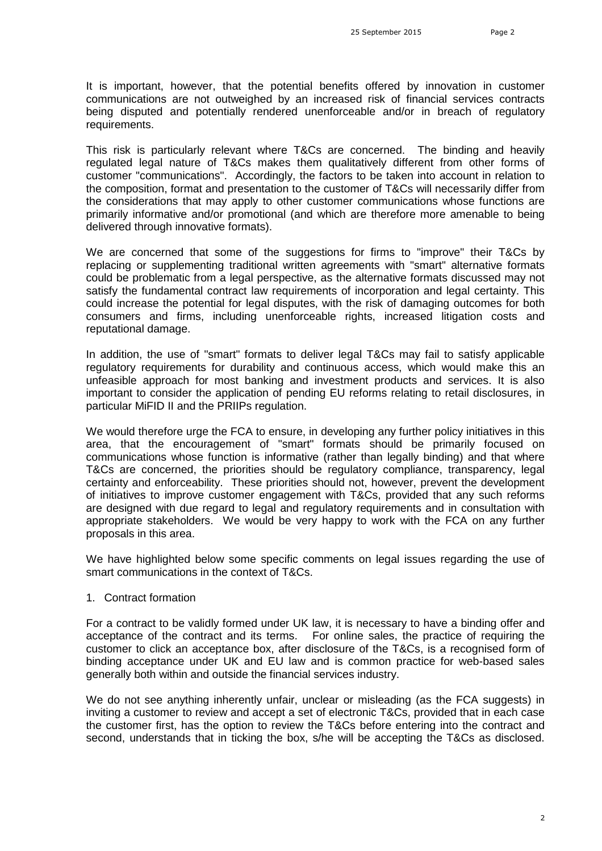It is important, however, that the potential benefits offered by innovation in customer communications are not outweighed by an increased risk of financial services contracts being disputed and potentially rendered unenforceable and/or in breach of regulatory requirements.

This risk is particularly relevant where T&Cs are concerned. The binding and heavily regulated legal nature of T&Cs makes them qualitatively different from other forms of customer "communications". Accordingly, the factors to be taken into account in relation to the composition, format and presentation to the customer of T&Cs will necessarily differ from the considerations that may apply to other customer communications whose functions are primarily informative and/or promotional (and which are therefore more amenable to being delivered through innovative formats).

We are concerned that some of the suggestions for firms to "improve" their T&Cs by replacing or supplementing traditional written agreements with "smart" alternative formats could be problematic from a legal perspective, as the alternative formats discussed may not satisfy the fundamental contract law requirements of incorporation and legal certainty. This could increase the potential for legal disputes, with the risk of damaging outcomes for both consumers and firms, including unenforceable rights, increased litigation costs and reputational damage.

In addition, the use of "smart" formats to deliver legal T&Cs may fail to satisfy applicable regulatory requirements for durability and continuous access, which would make this an unfeasible approach for most banking and investment products and services. It is also important to consider the application of pending EU reforms relating to retail disclosures, in particular MiFID II and the PRIIPs regulation.

We would therefore urge the FCA to ensure, in developing any further policy initiatives in this area, that the encouragement of "smart" formats should be primarily focused on communications whose function is informative (rather than legally binding) and that where T&Cs are concerned, the priorities should be regulatory compliance, transparency, legal certainty and enforceability. These priorities should not, however, prevent the development of initiatives to improve customer engagement with T&Cs, provided that any such reforms are designed with due regard to legal and regulatory requirements and in consultation with appropriate stakeholders. We would be very happy to work with the FCA on any further proposals in this area.

We have highlighted below some specific comments on legal issues regarding the use of smart communications in the context of T&Cs.

#### 1. Contract formation

For a contract to be validly formed under UK law, it is necessary to have a binding offer and acceptance of the contract and its terms. For online sales, the practice of requiring the customer to click an acceptance box, after disclosure of the T&Cs, is a recognised form of binding acceptance under UK and EU law and is common practice for web-based sales generally both within and outside the financial services industry.

We do not see anything inherently unfair, unclear or misleading (as the FCA suggests) in inviting a customer to review and accept a set of electronic T&Cs, provided that in each case the customer first, has the option to review the T&Cs before entering into the contract and second, understands that in ticking the box, s/he will be accepting the T&Cs as disclosed.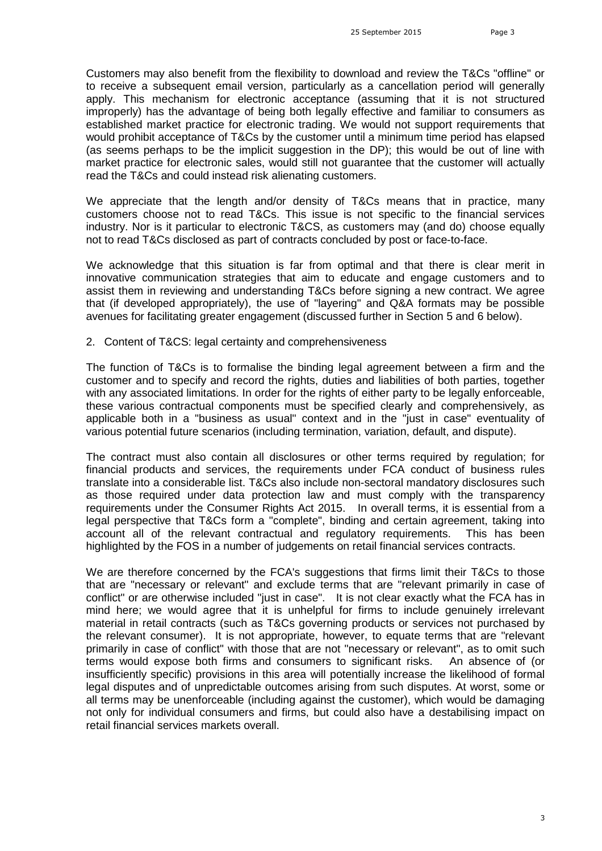Customers may also benefit from the flexibility to download and review the T&Cs "offline" or to receive a subsequent email version, particularly as a cancellation period will generally apply. This mechanism for electronic acceptance (assuming that it is not structured improperly) has the advantage of being both legally effective and familiar to consumers as established market practice for electronic trading. We would not support requirements that would prohibit acceptance of T&Cs by the customer until a minimum time period has elapsed (as seems perhaps to be the implicit suggestion in the DP); this would be out of line with market practice for electronic sales, would still not guarantee that the customer will actually read the T&Cs and could instead risk alienating customers.

We appreciate that the length and/or density of T&Cs means that in practice, many customers choose not to read T&Cs. This issue is not specific to the financial services industry. Nor is it particular to electronic T&CS, as customers may (and do) choose equally not to read T&Cs disclosed as part of contracts concluded by post or face-to-face.

We acknowledge that this situation is far from optimal and that there is clear merit in innovative communication strategies that aim to educate and engage customers and to assist them in reviewing and understanding T&Cs before signing a new contract. We agree that (if developed appropriately), the use of "layering" and Q&A formats may be possible avenues for facilitating greater engagement (discussed further in Section 5 and 6 below).

2. Content of T&CS: legal certainty and comprehensiveness

The function of T&Cs is to formalise the binding legal agreement between a firm and the customer and to specify and record the rights, duties and liabilities of both parties, together with any associated limitations. In order for the rights of either party to be legally enforceable, these various contractual components must be specified clearly and comprehensively, as applicable both in a "business as usual" context and in the "just in case" eventuality of various potential future scenarios (including termination, variation, default, and dispute).

The contract must also contain all disclosures or other terms required by regulation; for financial products and services, the requirements under FCA conduct of business rules translate into a considerable list. T&Cs also include non-sectoral mandatory disclosures such as those required under data protection law and must comply with the transparency requirements under the Consumer Rights Act 2015. In overall terms, it is essential from a legal perspective that T&Cs form a "complete", binding and certain agreement, taking into account all of the relevant contractual and regulatory requirements. This has been highlighted by the FOS in a number of judgements on retail financial services contracts.

We are therefore concerned by the FCA's suggestions that firms limit their T&Cs to those that are "necessary or relevant" and exclude terms that are "relevant primarily in case of conflict" or are otherwise included "just in case". It is not clear exactly what the FCA has in mind here; we would agree that it is unhelpful for firms to include genuinely irrelevant material in retail contracts (such as T&Cs governing products or services not purchased by the relevant consumer). It is not appropriate, however, to equate terms that are "relevant primarily in case of conflict" with those that are not "necessary or relevant", as to omit such terms would expose both firms and consumers to significant risks. An absence of (or insufficiently specific) provisions in this area will potentially increase the likelihood of formal legal disputes and of unpredictable outcomes arising from such disputes. At worst, some or all terms may be unenforceable (including against the customer), which would be damaging not only for individual consumers and firms, but could also have a destabilising impact on retail financial services markets overall.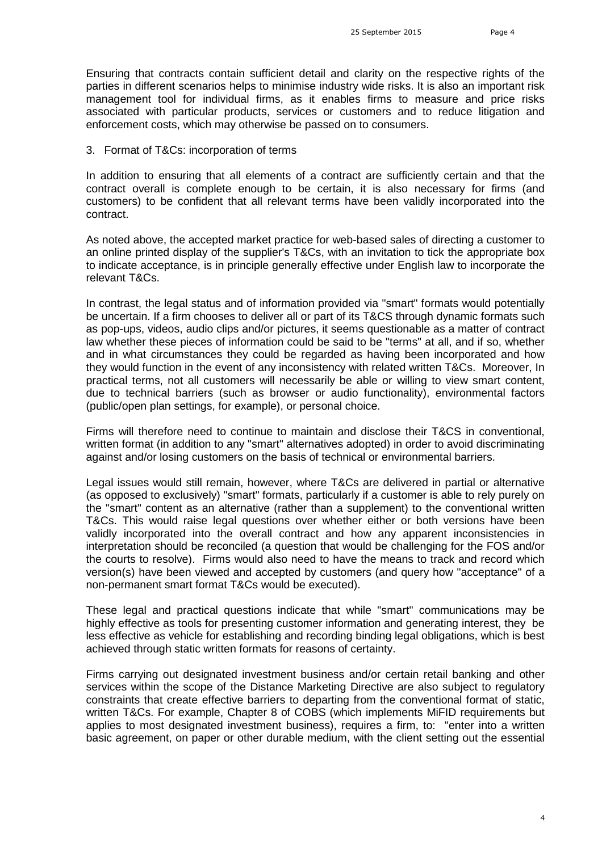Ensuring that contracts contain sufficient detail and clarity on the respective rights of the parties in different scenarios helps to minimise industry wide risks. It is also an important risk management tool for individual firms, as it enables firms to measure and price risks associated with particular products, services or customers and to reduce litigation and enforcement costs, which may otherwise be passed on to consumers.

### 3. Format of T&Cs: incorporation of terms

In addition to ensuring that all elements of a contract are sufficiently certain and that the contract overall is complete enough to be certain, it is also necessary for firms (and customers) to be confident that all relevant terms have been validly incorporated into the contract.

As noted above, the accepted market practice for web-based sales of directing a customer to an online printed display of the supplier's T&Cs, with an invitation to tick the appropriate box to indicate acceptance, is in principle generally effective under English law to incorporate the relevant T&Cs.

In contrast, the legal status and of information provided via "smart" formats would potentially be uncertain. If a firm chooses to deliver all or part of its T&CS through dynamic formats such as pop-ups, videos, audio clips and/or pictures, it seems questionable as a matter of contract law whether these pieces of information could be said to be "terms" at all, and if so, whether and in what circumstances they could be regarded as having been incorporated and how they would function in the event of any inconsistency with related written T&Cs. Moreover, In practical terms, not all customers will necessarily be able or willing to view smart content, due to technical barriers (such as browser or audio functionality), environmental factors (public/open plan settings, for example), or personal choice.

Firms will therefore need to continue to maintain and disclose their T&CS in conventional, written format (in addition to any "smart" alternatives adopted) in order to avoid discriminating against and/or losing customers on the basis of technical or environmental barriers.

Legal issues would still remain, however, where T&Cs are delivered in partial or alternative (as opposed to exclusively) "smart" formats, particularly if a customer is able to rely purely on the "smart" content as an alternative (rather than a supplement) to the conventional written T&Cs. This would raise legal questions over whether either or both versions have been validly incorporated into the overall contract and how any apparent inconsistencies in interpretation should be reconciled (a question that would be challenging for the FOS and/or the courts to resolve). Firms would also need to have the means to track and record which version(s) have been viewed and accepted by customers (and query how "acceptance" of a non-permanent smart format T&Cs would be executed).

These legal and practical questions indicate that while "smart" communications may be highly effective as tools for presenting customer information and generating interest, they be less effective as vehicle for establishing and recording binding legal obligations, which is best achieved through static written formats for reasons of certainty.

Firms carrying out designated investment business and/or certain retail banking and other services within the scope of the Distance Marketing Directive are also subject to regulatory constraints that create effective barriers to departing from the conventional format of static, written T&Cs. For example, Chapter 8 of COBS (which implements MiFID requirements but applies to most designated investment business), requires a firm, to: "enter into a written basic agreement, on paper or other durable medium, with the client setting out the essential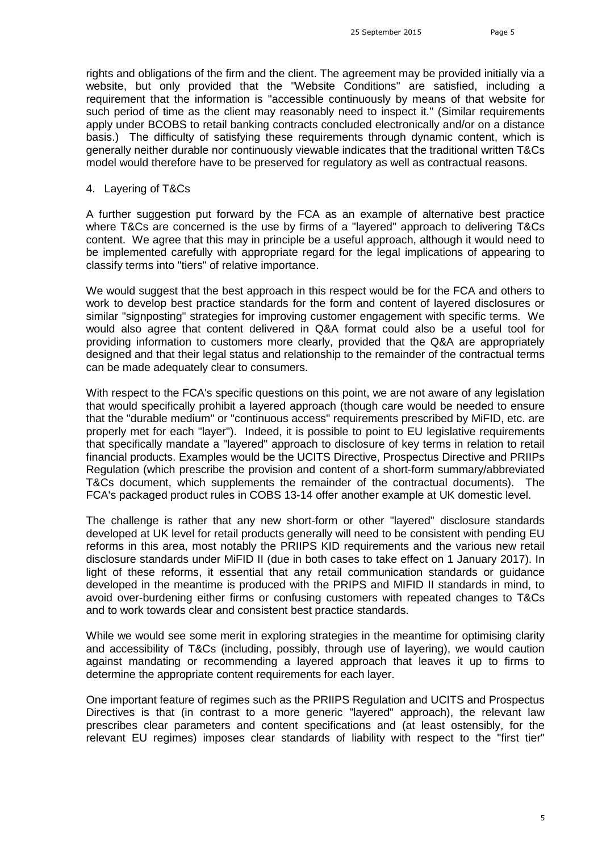rights and obligations of the firm and the client. The agreement may be provided initially via a website, but only provided that the "Website Conditions" are satisfied, including a requirement that the information is "accessible continuously by means of that website for such period of time as the client may reasonably need to inspect it." (Similar requirements apply under BCOBS to retail banking contracts concluded electronically and/or on a distance basis.) The difficulty of satisfying these requirements through dynamic content, which is generally neither durable nor continuously viewable indicates that the traditional written T&Cs model would therefore have to be preserved for regulatory as well as contractual reasons.

4. Layering of T&Cs

A further suggestion put forward by the FCA as an example of alternative best practice where T&Cs are concerned is the use by firms of a "layered" approach to delivering T&Cs content. We agree that this may in principle be a useful approach, although it would need to be implemented carefully with appropriate regard for the legal implications of appearing to classify terms into "tiers" of relative importance.

We would suggest that the best approach in this respect would be for the FCA and others to work to develop best practice standards for the form and content of layered disclosures or similar "signposting" strategies for improving customer engagement with specific terms. We would also agree that content delivered in Q&A format could also be a useful tool for providing information to customers more clearly, provided that the Q&A are appropriately designed and that their legal status and relationship to the remainder of the contractual terms can be made adequately clear to consumers.

With respect to the FCA's specific questions on this point, we are not aware of any legislation that would specifically prohibit a layered approach (though care would be needed to ensure that the "durable medium" or "continuous access" requirements prescribed by MiFID, etc. are properly met for each "layer"). Indeed, it is possible to point to EU legislative requirements that specifically mandate a "layered" approach to disclosure of key terms in relation to retail financial products. Examples would be the UCITS Directive, Prospectus Directive and PRIIPs Regulation (which prescribe the provision and content of a short-form summary/abbreviated T&Cs document, which supplements the remainder of the contractual documents). The FCA's packaged product rules in COBS 13-14 offer another example at UK domestic level.

The challenge is rather that any new short-form or other "layered" disclosure standards developed at UK level for retail products generally will need to be consistent with pending EU reforms in this area, most notably the PRIIPS KID requirements and the various new retail disclosure standards under MiFID II (due in both cases to take effect on 1 January 2017). In light of these reforms, it essential that any retail communication standards or guidance developed in the meantime is produced with the PRIPS and MIFID II standards in mind, to avoid over-burdening either firms or confusing customers with repeated changes to T&Cs and to work towards clear and consistent best practice standards.

While we would see some merit in exploring strategies in the meantime for optimising clarity and accessibility of T&Cs (including, possibly, through use of layering), we would caution against mandating or recommending a layered approach that leaves it up to firms to determine the appropriate content requirements for each layer.

One important feature of regimes such as the PRIIPS Regulation and UCITS and Prospectus Directives is that (in contrast to a more generic "layered" approach), the relevant law prescribes clear parameters and content specifications and (at least ostensibly, for the relevant EU regimes) imposes clear standards of liability with respect to the "first tier"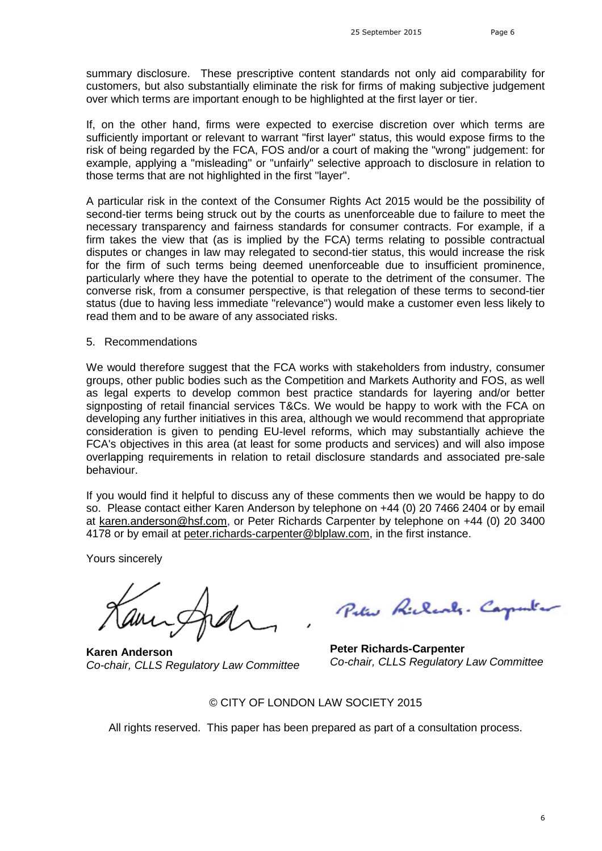summary disclosure. These prescriptive content standards not only aid comparability for customers, but also substantially eliminate the risk for firms of making subjective judgement over which terms are important enough to be highlighted at the first layer or tier.

If, on the other hand, firms were expected to exercise discretion over which terms are sufficiently important or relevant to warrant "first layer" status, this would expose firms to the risk of being regarded by the FCA, FOS and/or a court of making the "wrong" judgement: for example, applying a "misleading" or "unfairly" selective approach to disclosure in relation to those terms that are not highlighted in the first "layer".

A particular risk in the context of the Consumer Rights Act 2015 would be the possibility of second-tier terms being struck out by the courts as unenforceable due to failure to meet the necessary transparency and fairness standards for consumer contracts. For example, if a firm takes the view that (as is implied by the FCA) terms relating to possible contractual disputes or changes in law may relegated to second-tier status, this would increase the risk for the firm of such terms being deemed unenforceable due to insufficient prominence, particularly where they have the potential to operate to the detriment of the consumer. The converse risk, from a consumer perspective, is that relegation of these terms to second-tier status (due to having less immediate "relevance") would make a customer even less likely to read them and to be aware of any associated risks.

### 5. Recommendations

We would therefore suggest that the FCA works with stakeholders from industry, consumer groups, other public bodies such as the Competition and Markets Authority and FOS, as well as legal experts to develop common best practice standards for layering and/or better signposting of retail financial services T&Cs. We would be happy to work with the FCA on developing any further initiatives in this area, although we would recommend that appropriate consideration is given to pending EU-level reforms, which may substantially achieve the FCA's objectives in this area (at least for some products and services) and will also impose overlapping requirements in relation to retail disclosure standards and associated pre-sale behaviour.

If you would find it helpful to discuss any of these comments then we would be happy to do so. Please contact either Karen Anderson by telephone on +44 (0) 20 7466 2404 or by email at [karen.anderson@hsf.com](mailto:karen.anderson@hsf.com), or Peter Richards Carpenter by telephone on +44 (0) 20 3400 4178 or by emailat [peter.richards-carpenter@blplaw.com](mailto:peter.richards-carpenter@blplaw.com), in the first instance.

Yours sincerely

**Karen Anderson** *Co-chair, CLLS Regulatory Law Committee*

Peter Richards. Cap

**Peter Richards-Carpenter** *Co-chair, CLLS Regulatory Law Committee*

### © CITY OF LONDON LAW SOCIETY 2015

All rights reserved. This paper has been prepared as part of a consultation process.